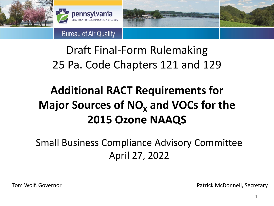



**Bureau of Air Quality** 

#### Draft Final-Form Rulemaking 25 Pa. Code Chapters 121 and 129

#### **Additional RACT Requirements for Major Sources of NO<sub>X</sub> and VOCs for the 2015 Ozone NAAQS**

Small Business Compliance Advisory Committee April 27, 2022

Tom Wolf, Governor **Patrick McDonnell**, Secretary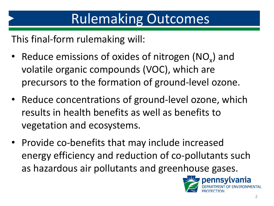This final-form rulemaking will:

- Reduce emissions of oxides of nitrogen  $(NO_x)$  and volatile organic compounds (VOC), which are precursors to the formation of ground-level ozone.
- Reduce concentrations of ground-level ozone, which results in health benefits as well as benefits to vegetation and ecosystems.
- Provide co-benefits that may include increased energy efficiency and reduction of co-pollutants such as hazardous air pollutants and greenhouse gases.

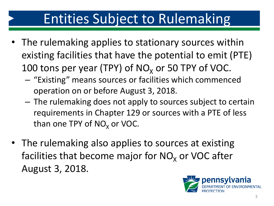# Entities Subject to Rulemaking

- The rulemaking applies to stationary sources within existing facilities that have the potential to emit (PTE) 100 tons per year (TPY) of  $NO<sub>x</sub>$  or 50 TPY of VOC.
	- "Existing" means sources or facilities which commenced operation on or before August 3, 2018.
	- The rulemaking does not apply to sources subject to certain requirements in Chapter 129 or sources with a PTE of less than one TPY of  $NO<sub>x</sub>$  or VOC.
- The rulemaking also applies to sources at existing facilities that become major for  $NO<sub>x</sub>$  or VOC after August 3, 2018.

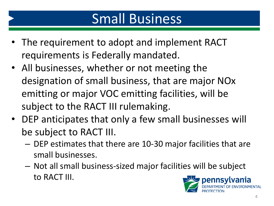# Small Business

- The requirement to adopt and implement RACT requirements is Federally mandated.
- All businesses, whether or not meeting the designation of small business, that are major NOx emitting or major VOC emitting facilities, will be subject to the RACT III rulemaking.
- DEP anticipates that only a few small businesses will be subject to RACT III.
	- DEP estimates that there are 10-30 major facilities that are small businesses.
	- Not all small business-sized major facilities will be subject to RACT III.

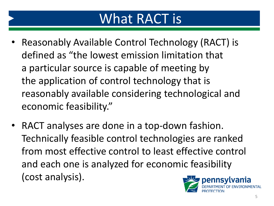### What RACT is

- Reasonably Available Control Technology (RACT) is defined as "the lowest emission limitation that a particular source is capable of meeting by the application of control technology that is reasonably available considering technological and economic feasibility."
- RACT analyses are done in a top-down fashion. Technically feasible control technologies are ranked from most effective control to least effective control and each one is analyzed for economic feasibility (cost analysis).

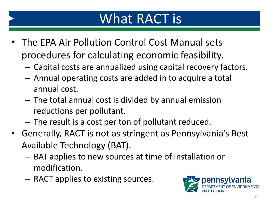## What RACT is

- The EPA Air Pollution Control Cost Manual sets procedures for calculating economic feasibility.
	- Capital costs are annualized using capital recovery factors.
	- Annual operating costs are added in to acquire a total annual cost.
	- The total annual cost is divided by annual emission reductions per pollutant.
	- The result is a cost per ton of pollutant reduced.
- Generally, RACT is not as stringent as Pennsylvania's Best Available Technology (BAT).
	- BAT applies to new sources at time of installation or modification.
	- RACT applies to existing sources.

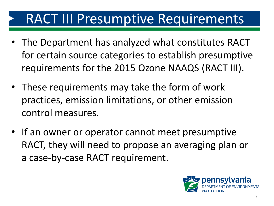# RACT III Presumptive Requirements

- The Department has analyzed what constitutes RACT for certain source categories to establish presumptive requirements for the 2015 Ozone NAAQS (RACT III).
- These requirements may take the form of work practices, emission limitations, or other emission control measures.
- If an owner or operator cannot meet presumptive RACT, they will need to propose an averaging plan or a case-by-case RACT requirement.

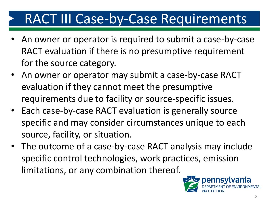# RACT III Case-by-Case Requirements

- An owner or operator is required to submit a case-by-case RACT evaluation if there is no presumptive requirement for the source category.
- An owner or operator may submit a case-by-case RACT evaluation if they cannot meet the presumptive requirements due to facility or source-specific issues.
- Each case-by-case RACT evaluation is generally source specific and may consider circumstances unique to each source, facility, or situation.
- The outcome of a case-by-case RACT analysis may include specific control technologies, work practices, emission limitations, or any combination thereof.

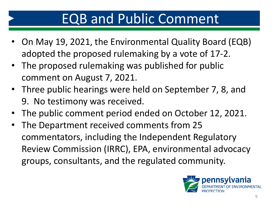# EQB and Public Comment

- On May 19, 2021, the Environmental Quality Board (EQB) adopted the proposed rulemaking by a vote of 17-2.
- The proposed rulemaking was published for public comment on August 7, 2021.
- Three public hearings were held on September 7, 8, and 9. No testimony was received.
- The public comment period ended on October 12, 2021.
- The Department received comments from 25 commentators, including the Independent Regulatory Review Commission (IRRC), EPA, environmental advocacy groups, consultants, and the regulated community.

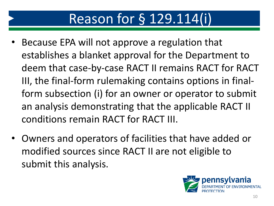## Reason for § 129.114(i)

- Because EPA will not approve a regulation that establishes a blanket approval for the Department to deem that case-by-case RACT II remains RACT for RACT III, the final-form rulemaking contains options in finalform subsection (i) for an owner or operator to submit an analysis demonstrating that the applicable RACT II conditions remain RACT for RACT III.
- Owners and operators of facilities that have added or modified sources since RACT II are not eligible to submit this analysis.

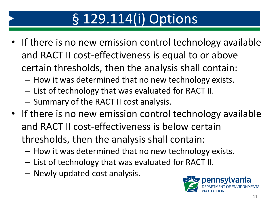# § 129.114(i) Options

- If there is no new emission control technology available and RACT II cost-effectiveness is equal to or above certain thresholds, then the analysis shall contain:
	- How it was determined that no new technology exists.
	- List of technology that was evaluated for RACT II.
	- Summary of the RACT II cost analysis.
- If there is no new emission control technology available and RACT II cost-effectiveness is below certain thresholds, then the analysis shall contain:
	- How it was determined that no new technology exists.
	- List of technology that was evaluated for RACT II.
	- Newly updated cost analysis.

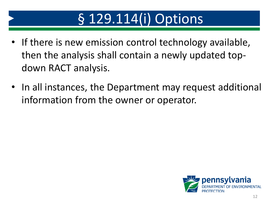# § 129.114(i) Options

- If there is new emission control technology available, then the analysis shall contain a newly updated topdown RACT analysis.
- In all instances, the Department may request additional information from the owner or operator.

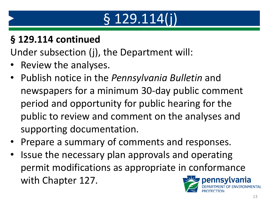# § 129.114(j)

#### **§ 129.114 continued**

Under subsection (j), the Department will:

- Review the analyses.
- Publish notice in the *Pennsylvania Bulletin* and newspapers for a minimum 30-day public comment period and opportunity for public hearing for the public to review and comment on the analyses and supporting documentation.
- Prepare a summary of comments and responses.
- Issue the necessary plan approvals and operating permit modifications as appropriate in conformance with Chapter 127. pennsvlvania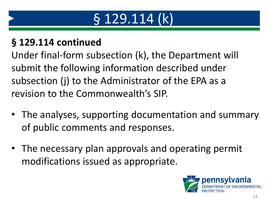# § 129.114 (k)

#### **§ 129.114 continued**

Under final-form subsection (k), the Department will submit the following information described under subsection (j) to the Administrator of the EPA as a revision to the Commonwealth's SIP.

- The analyses, supporting documentation and summary of public comments and responses.
- The necessary plan approvals and operating permit modifications issued as appropriate.

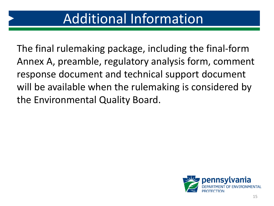### Additional Information

The final rulemaking package, including the final-form Annex A, preamble, regulatory analysis form, comment response document and technical support document will be available when the rulemaking is considered by the Environmental Quality Board.

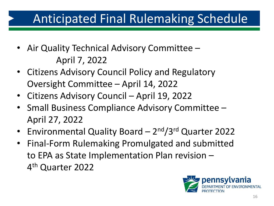#### Anticipated Final Rulemaking Schedule

- Air Quality Technical Advisory Committee April 7, 2022
- Citizens Advisory Council Policy and Regulatory Oversight Committee – April 14, 2022
- Citizens Advisory Council April 19, 2022
- Small Business Compliance Advisory Committee April 27, 2022
- Environmental Quality Board 2<sup>nd</sup>/3<sup>rd</sup> Quarter 2022
- Final-Form Rulemaking Promulgated and submitted to EPA as State Implementation Plan revision – 4<sup>th</sup> Quarter 2022